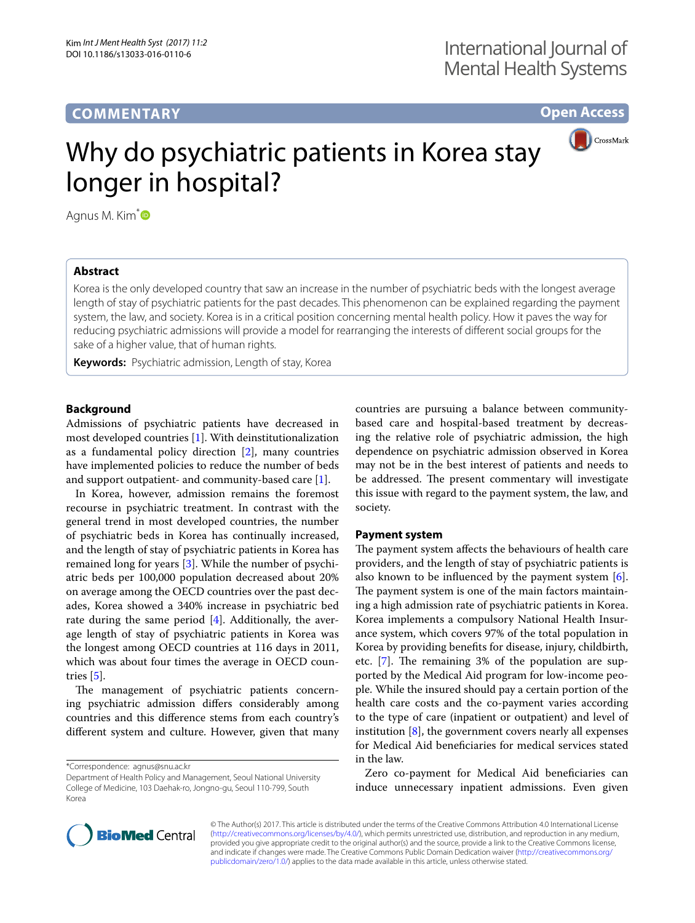## **COMMENTARY**

**Open Access**



# Why do psychiatric patients in Korea stay longer in hospital?

Agnus M. Kim<sup>[\\*](http://orcid.org/0000-0002-6616-2534)</sup>

## **Abstract**

Korea is the only developed country that saw an increase in the number of psychiatric beds with the longest average length of stay of psychiatric patients for the past decades. This phenomenon can be explained regarding the payment system, the law, and society. Korea is in a critical position concerning mental health policy. How it paves the way for reducing psychiatric admissions will provide a model for rearranging the interests of different social groups for the sake of a higher value, that of human rights.

**Keywords:** Psychiatric admission, Length of stay, Korea

## **Background**

Admissions of psychiatric patients have decreased in most developed countries [\[1](#page-3-0)]. With deinstitutionalization as a fundamental policy direction [\[2](#page-3-1)], many countries have implemented policies to reduce the number of beds and support outpatient- and community-based care [\[1\]](#page-3-0).

In Korea, however, admission remains the foremost recourse in psychiatric treatment. In contrast with the general trend in most developed countries, the number of psychiatric beds in Korea has continually increased, and the length of stay of psychiatric patients in Korea has remained long for years [\[3](#page-3-2)]. While the number of psychiatric beds per 100,000 population decreased about 20% on average among the OECD countries over the past decades, Korea showed a 340% increase in psychiatric bed rate during the same period [[4\]](#page-3-3). Additionally, the average length of stay of psychiatric patients in Korea was the longest among OECD countries at 116 days in 2011, which was about four times the average in OECD countries [\[5](#page-3-4)].

The management of psychiatric patients concerning psychiatric admission differs considerably among countries and this difference stems from each country's different system and culture. However, given that many

\*Correspondence: agnus@snu.ac.kr

countries are pursuing a balance between communitybased care and hospital-based treatment by decreasing the relative role of psychiatric admission, the high dependence on psychiatric admission observed in Korea may not be in the best interest of patients and needs to be addressed. The present commentary will investigate this issue with regard to the payment system, the law, and society.

## **Payment system**

The payment system affects the behaviours of health care providers, and the length of stay of psychiatric patients is also known to be influenced by the payment system  $[6]$  $[6]$ . The payment system is one of the main factors maintaining a high admission rate of psychiatric patients in Korea. Korea implements a compulsory National Health Insurance system, which covers 97% of the total population in Korea by providing benefits for disease, injury, childbirth, etc. [[7\]](#page-3-6). The remaining 3% of the population are supported by the Medical Aid program for low-income people. While the insured should pay a certain portion of the health care costs and the co-payment varies according to the type of care (inpatient or outpatient) and level of institution [\[8](#page-3-7)], the government covers nearly all expenses for Medical Aid beneficiaries for medical services stated in the law.

Zero co-payment for Medical Aid beneficiaries can induce unnecessary inpatient admissions. Even given



© The Author(s) 2017. This article is distributed under the terms of the Creative Commons Attribution 4.0 International License [\(http://creativecommons.org/licenses/by/4.0/\)](http://creativecommons.org/licenses/by/4.0/), which permits unrestricted use, distribution, and reproduction in any medium, provided you give appropriate credit to the original author(s) and the source, provide a link to the Creative Commons license, and indicate if changes were made. The Creative Commons Public Domain Dedication waiver ([http://creativecommons.org/](http://creativecommons.org/publicdomain/zero/1.0/) [publicdomain/zero/1.0/](http://creativecommons.org/publicdomain/zero/1.0/)) applies to the data made available in this article, unless otherwise stated.

Department of Health Policy and Management, Seoul National University College of Medicine, 103 Daehak‑ro, Jongno‑gu, Seoul 110‑799, South Korea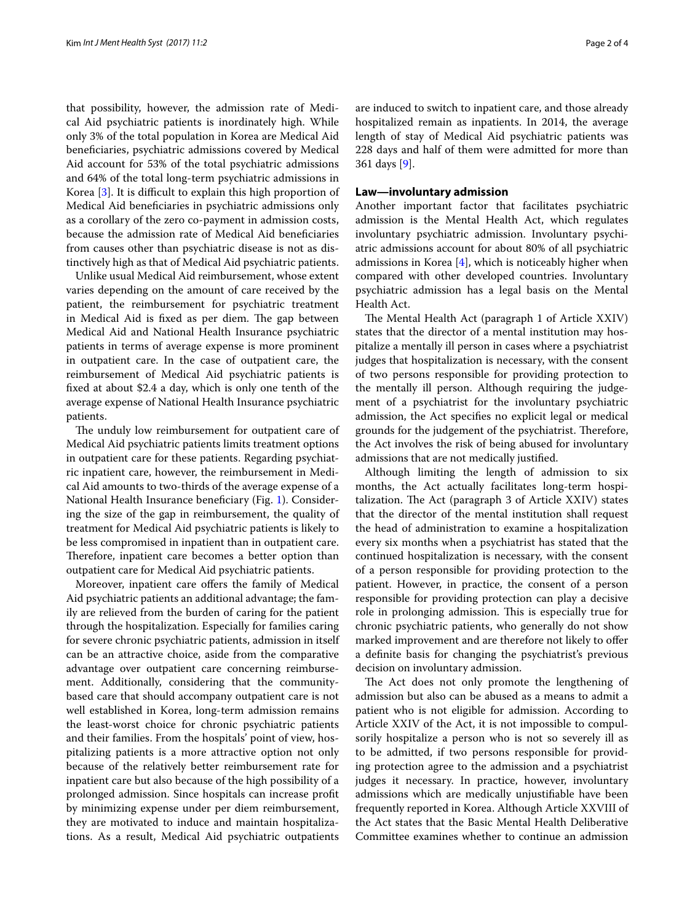that possibility, however, the admission rate of Medical Aid psychiatric patients is inordinately high. While only 3% of the total population in Korea are Medical Aid beneficiaries, psychiatric admissions covered by Medical Aid account for 53% of the total psychiatric admissions and 64% of the total long-term psychiatric admissions in Korea [[3\]](#page-3-2). It is difficult to explain this high proportion of Medical Aid beneficiaries in psychiatric admissions only as a corollary of the zero co-payment in admission costs, because the admission rate of Medical Aid beneficiaries from causes other than psychiatric disease is not as distinctively high as that of Medical Aid psychiatric patients.

Unlike usual Medical Aid reimbursement, whose extent varies depending on the amount of care received by the patient, the reimbursement for psychiatric treatment in Medical Aid is fixed as per diem. The gap between Medical Aid and National Health Insurance psychiatric patients in terms of average expense is more prominent in outpatient care. In the case of outpatient care, the reimbursement of Medical Aid psychiatric patients is fixed at about \$2.4 a day, which is only one tenth of the average expense of National Health Insurance psychiatric patients.

The unduly low reimbursement for outpatient care of Medical Aid psychiatric patients limits treatment options in outpatient care for these patients. Regarding psychiatric inpatient care, however, the reimbursement in Medical Aid amounts to two-thirds of the average expense of a National Health Insurance beneficiary (Fig. [1\)](#page-2-0). Considering the size of the gap in reimbursement, the quality of treatment for Medical Aid psychiatric patients is likely to be less compromised in inpatient than in outpatient care. Therefore, inpatient care becomes a better option than outpatient care for Medical Aid psychiatric patients.

Moreover, inpatient care offers the family of Medical Aid psychiatric patients an additional advantage; the family are relieved from the burden of caring for the patient through the hospitalization. Especially for families caring for severe chronic psychiatric patients, admission in itself can be an attractive choice, aside from the comparative advantage over outpatient care concerning reimbursement. Additionally, considering that the communitybased care that should accompany outpatient care is not well established in Korea, long-term admission remains the least-worst choice for chronic psychiatric patients and their families. From the hospitals' point of view, hospitalizing patients is a more attractive option not only because of the relatively better reimbursement rate for inpatient care but also because of the high possibility of a prolonged admission. Since hospitals can increase profit by minimizing expense under per diem reimbursement, they are motivated to induce and maintain hospitalizations. As a result, Medical Aid psychiatric outpatients are induced to switch to inpatient care, and those already hospitalized remain as inpatients. In 2014, the average length of stay of Medical Aid psychiatric patients was 228 days and half of them were admitted for more than 361 days [\[9](#page-3-8)].

#### **Law—involuntary admission**

Another important factor that facilitates psychiatric admission is the Mental Health Act, which regulates involuntary psychiatric admission. Involuntary psychiatric admissions account for about 80% of all psychiatric admissions in Korea [\[4](#page-3-3)], which is noticeably higher when compared with other developed countries. Involuntary psychiatric admission has a legal basis on the Mental Health Act.

The Mental Health Act (paragraph 1 of Article XXIV) states that the director of a mental institution may hospitalize a mentally ill person in cases where a psychiatrist judges that hospitalization is necessary, with the consent of two persons responsible for providing protection to the mentally ill person. Although requiring the judgement of a psychiatrist for the involuntary psychiatric admission, the Act specifies no explicit legal or medical grounds for the judgement of the psychiatrist. Therefore, the Act involves the risk of being abused for involuntary admissions that are not medically justified.

Although limiting the length of admission to six months, the Act actually facilitates long-term hospitalization. The Act (paragraph 3 of Article XXIV) states that the director of the mental institution shall request the head of administration to examine a hospitalization every six months when a psychiatrist has stated that the continued hospitalization is necessary, with the consent of a person responsible for providing protection to the patient. However, in practice, the consent of a person responsible for providing protection can play a decisive role in prolonging admission. This is especially true for chronic psychiatric patients, who generally do not show marked improvement and are therefore not likely to offer a definite basis for changing the psychiatrist's previous decision on involuntary admission.

The Act does not only promote the lengthening of admission but also can be abused as a means to admit a patient who is not eligible for admission. According to Article XXIV of the Act, it is not impossible to compulsorily hospitalize a person who is not so severely ill as to be admitted, if two persons responsible for providing protection agree to the admission and a psychiatrist judges it necessary. In practice, however, involuntary admissions which are medically unjustifiable have been frequently reported in Korea. Although Article XXVIII of the Act states that the Basic Mental Health Deliberative Committee examines whether to continue an admission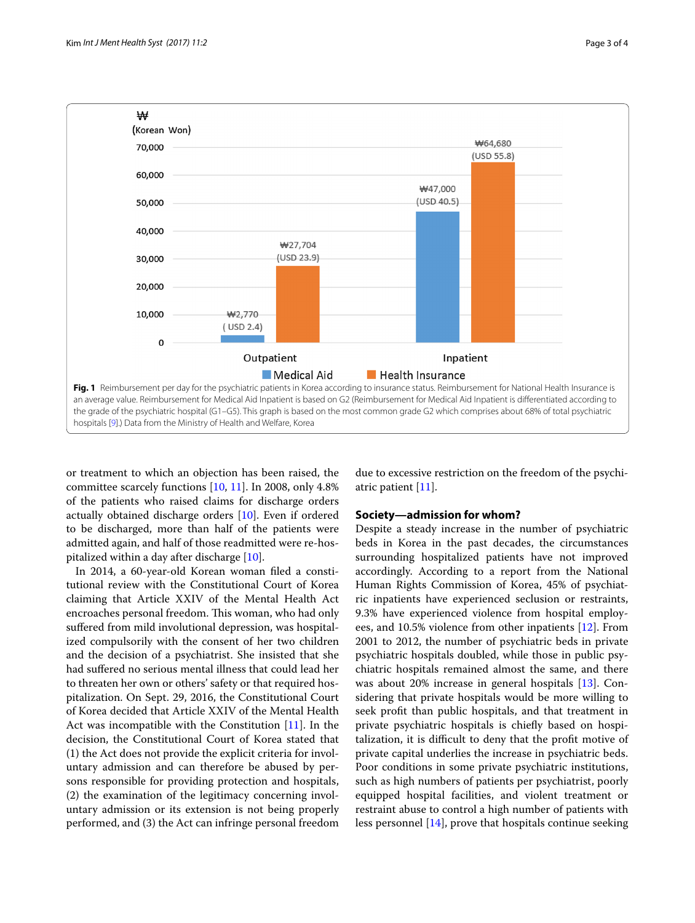

<span id="page-2-0"></span>or treatment to which an objection has been raised, the committee scarcely functions [[10,](#page-3-9) [11](#page-3-10)]. In 2008, only 4.8% of the patients who raised claims for discharge orders actually obtained discharge orders [[10\]](#page-3-9). Even if ordered to be discharged, more than half of the patients were admitted again, and half of those readmitted were re-hospitalized within a day after discharge [[10](#page-3-9)].

In 2014, a 60-year-old Korean woman filed a constitutional review with the Constitutional Court of Korea claiming that Article XXIV of the Mental Health Act encroaches personal freedom. This woman, who had only suffered from mild involutional depression, was hospitalized compulsorily with the consent of her two children and the decision of a psychiatrist. She insisted that she had suffered no serious mental illness that could lead her to threaten her own or others' safety or that required hospitalization. On Sept. 29, 2016, the Constitutional Court of Korea decided that Article XXIV of the Mental Health Act was incompatible with the Constitution [[11\]](#page-3-10). In the decision, the Constitutional Court of Korea stated that (1) the Act does not provide the explicit criteria for involuntary admission and can therefore be abused by persons responsible for providing protection and hospitals, (2) the examination of the legitimacy concerning involuntary admission or its extension is not being properly performed, and (3) the Act can infringe personal freedom

due to excessive restriction on the freedom of the psychiatric patient [[11\]](#page-3-10).

### **Society—admission for whom?**

Despite a steady increase in the number of psychiatric beds in Korea in the past decades, the circumstances surrounding hospitalized patients have not improved accordingly. According to a report from the National Human Rights Commission of Korea, 45% of psychiatric inpatients have experienced seclusion or restraints, 9.3% have experienced violence from hospital employees, and 10.5% violence from other inpatients [\[12](#page-3-11)]. From 2001 to 2012, the number of psychiatric beds in private psychiatric hospitals doubled, while those in public psychiatric hospitals remained almost the same, and there was about 20% increase in general hospitals [[13](#page-3-12)]. Considering that private hospitals would be more willing to seek profit than public hospitals, and that treatment in private psychiatric hospitals is chiefly based on hospitalization, it is difficult to deny that the profit motive of private capital underlies the increase in psychiatric beds. Poor conditions in some private psychiatric institutions, such as high numbers of patients per psychiatrist, poorly equipped hospital facilities, and violent treatment or restraint abuse to control a high number of patients with less personnel [\[14](#page-3-13)], prove that hospitals continue seeking